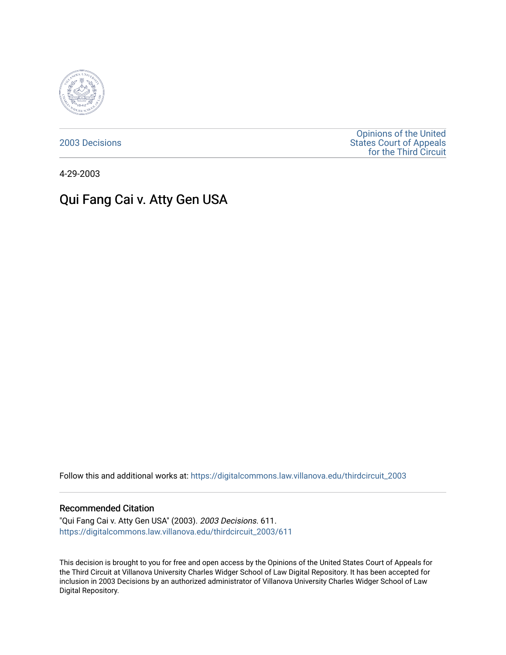

[2003 Decisions](https://digitalcommons.law.villanova.edu/thirdcircuit_2003)

[Opinions of the United](https://digitalcommons.law.villanova.edu/thirdcircuit)  [States Court of Appeals](https://digitalcommons.law.villanova.edu/thirdcircuit)  [for the Third Circuit](https://digitalcommons.law.villanova.edu/thirdcircuit) 

4-29-2003

# Qui Fang Cai v. Atty Gen USA

Follow this and additional works at: [https://digitalcommons.law.villanova.edu/thirdcircuit\\_2003](https://digitalcommons.law.villanova.edu/thirdcircuit_2003?utm_source=digitalcommons.law.villanova.edu%2Fthirdcircuit_2003%2F611&utm_medium=PDF&utm_campaign=PDFCoverPages) 

### Recommended Citation

"Qui Fang Cai v. Atty Gen USA" (2003). 2003 Decisions. 611. [https://digitalcommons.law.villanova.edu/thirdcircuit\\_2003/611](https://digitalcommons.law.villanova.edu/thirdcircuit_2003/611?utm_source=digitalcommons.law.villanova.edu%2Fthirdcircuit_2003%2F611&utm_medium=PDF&utm_campaign=PDFCoverPages)

This decision is brought to you for free and open access by the Opinions of the United States Court of Appeals for the Third Circuit at Villanova University Charles Widger School of Law Digital Repository. It has been accepted for inclusion in 2003 Decisions by an authorized administrator of Villanova University Charles Widger School of Law Digital Repository.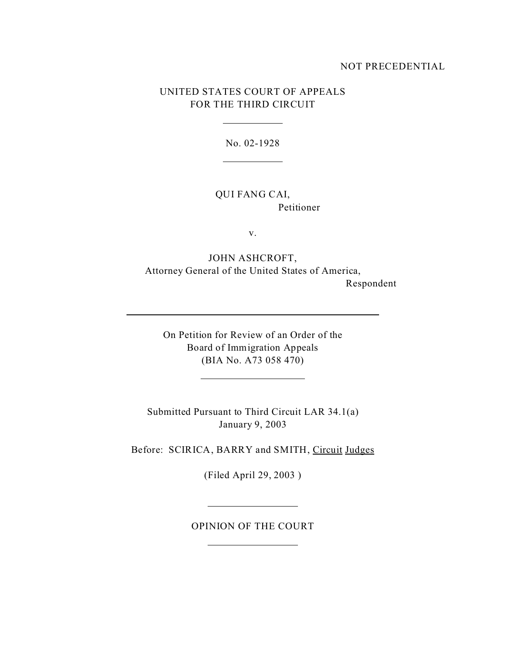### NOT PRECEDENTIAL

# UNITED STATES COURT OF APPEALS FOR THE THIRD CIRCUIT

No. 02-1928

## QUI FANG CAI, Petitioner

v.

JOHN ASHCROFT, Attorney General of the United States of America, Respondent

On Petition for Review of an Order of the Board of Immigration Appeals (BIA No. A73 058 470)

Submitted Pursuant to Third Circuit LAR 34.1(a) January 9, 2003

Before: SCIRICA, BARRY and SMITH, Circuit Judges

(Filed April 29, 2003 )

OPINION OF THE COURT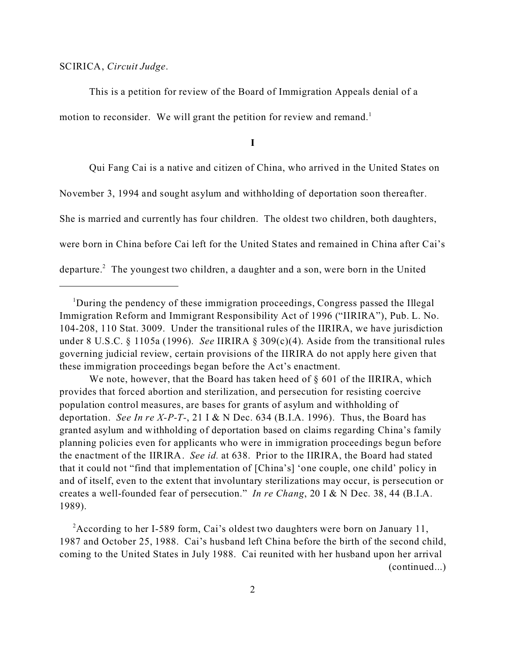### SCIRICA, *Circuit Judge*.

This is a petition for review of the Board of Immigration Appeals denial of a motion to reconsider. We will grant the petition for review and remand.<sup>1</sup>

**I**

Qui Fang Cai is a native and citizen of China, who arrived in the United States on November 3, 1994 and sought asylum and withholding of deportation soon thereafter. She is married and currently has four children. The oldest two children, both daughters, were born in China before Cai left for the United States and remained in China after Cai's departure.<sup>2</sup> The youngest two children, a daughter and a son, were born in the United

<sup>&</sup>lt;sup>1</sup>During the pendency of these immigration proceedings, Congress passed the Illegal Immigration Reform and Immigrant Responsibility Act of 1996 ("IIRIRA"), Pub. L. No. 104-208, 110 Stat. 3009. Under the transitional rules of the IIRIRA, we have jurisdiction under 8 U.S.C. § 1105a (1996). *See* IIRIRA § 309(c)(4). Aside from the transitional rules governing judicial review, certain provisions of the IIRIRA do not apply here given that these immigration proceedings began before the Act's enactment.

We note, however, that the Board has taken heed of § 601 of the IIRIRA, which provides that forced abortion and sterilization, and persecution for resisting coercive population control measures, are bases for grants of asylum and withholding of deportation. *See In re X-P-T-*, 21 I & N Dec. 634 (B.I.A. 1996). Thus, the Board has granted asylum and withholding of deportation based on claims regarding China's family planning policies even for applicants who were in immigration proceedings begun before the enactment of the IIRIRA. *See id.* at 638. Prior to the IIRIRA, the Board had stated that it could not "find that implementation of [China's] 'one couple, one child' policy in and of itself, even to the extent that involuntary sterilizations may occur, is persecution or creates a well-founded fear of persecution." *In re Chang*, 20 I & N Dec. 38, 44 (B.I.A. 1989).

<sup>&</sup>lt;sup>2</sup> According to her I-589 form, Cai's oldest two daughters were born on January 11, 1987 and October 25, 1988. Cai's husband left China before the birth of the second child, coming to the United States in July 1988. Cai reunited with her husband upon her arrival (continued...)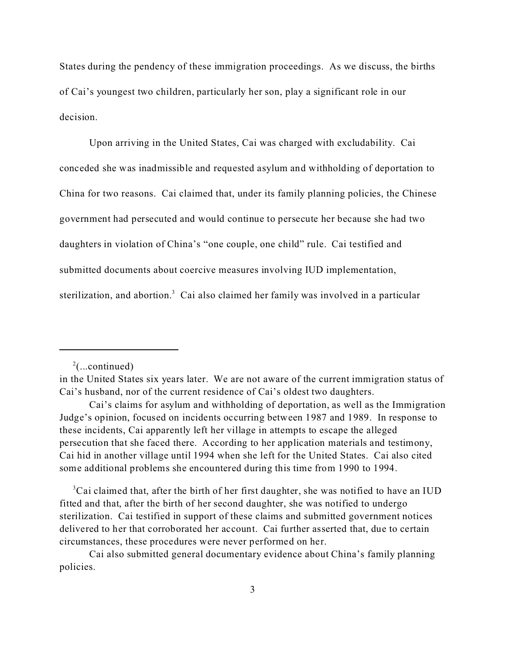States during the pendency of these immigration proceedings. As we discuss, the births of Cai's youngest two children, particularly her son, play a significant role in our decision.

Upon arriving in the United States, Cai was charged with excludability. Cai conceded she was inadmissible and requested asylum and withholding of deportation to China for two reasons. Cai claimed that, under its family planning policies, the Chinese government had persecuted and would continue to persecute her because she had two daughters in violation of China's "one couple, one child" rule. Cai testified and submitted documents about coercive measures involving IUD implementation, sterilization, and abortion.<sup>3</sup> Cai also claimed her family was involved in a particular

 $2$ (...continued)

 $3$ Cai claimed that, after the birth of her first daughter, she was notified to have an IUD fitted and that, after the birth of her second daughter, she was notified to undergo sterilization. Cai testified in support of these claims and submitted government notices delivered to her that corroborated her account. Cai further asserted that, due to certain circumstances, these procedures were never performed on her.

Cai also submitted general documentary evidence about China's family planning policies.

in the United States six years later. We are not aware of the current immigration status of Cai's husband, nor of the current residence of Cai's oldest two daughters.

Cai's claims for asylum and withholding of deportation, as well as the Immigration Judge's opinion, focused on incidents occurring between 1987 and 1989. In response to these incidents, Cai apparently left her village in attempts to escape the alleged persecution that she faced there. According to her application materials and testimony, Cai hid in another village until 1994 when she left for the United States. Cai also cited some additional problems she encountered during this time from 1990 to 1994.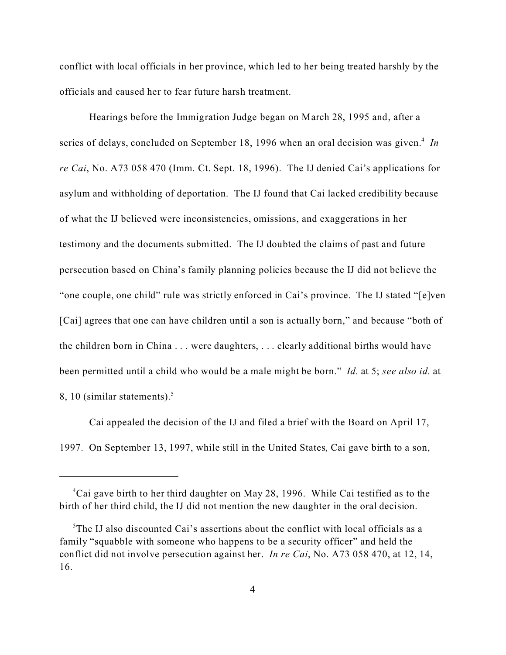conflict with local officials in her province, which led to her being treated harshly by the officials and caused her to fear future harsh treatment.

Hearings before the Immigration Judge began on March 28, 1995 and, after a series of delays, concluded on September 18, 1996 when an oral decision was given.<sup>4</sup> In *re Cai*, No. A73 058 470 (Imm. Ct. Sept. 18, 1996). The IJ denied Cai's applications for asylum and withholding of deportation. The IJ found that Cai lacked credibility because of what the IJ believed were inconsistencies, omissions, and exaggerations in her testimony and the documents submitted. The IJ doubted the claims of past and future persecution based on China's family planning policies because the IJ did not believe the "one couple, one child" rule was strictly enforced in Cai's province. The IJ stated "[e]ven [Cai] agrees that one can have children until a son is actually born," and because "both of the children born in China . . . were daughters, . . . clearly additional births would have been permitted until a child who would be a male might be born." *Id.* at 5; *see also id.* at 8, 10 (similar statements).<sup>5</sup>

Cai appealed the decision of the IJ and filed a brief with the Board on April 17, 1997. On September 13, 1997, while still in the United States, Cai gave birth to a son,

 ${}^{4}$ Cai gave birth to her third daughter on May 28, 1996. While Cai testified as to the birth of her third child, the IJ did not mention the new daughter in the oral decision.

 ${}^5$ The IJ also discounted Cai's assertions about the conflict with local officials as a family "squabble with someone who happens to be a security officer" and held the conflict did not involve persecution against her. *In re Cai*, No. A73 058 470, at 12, 14, 16.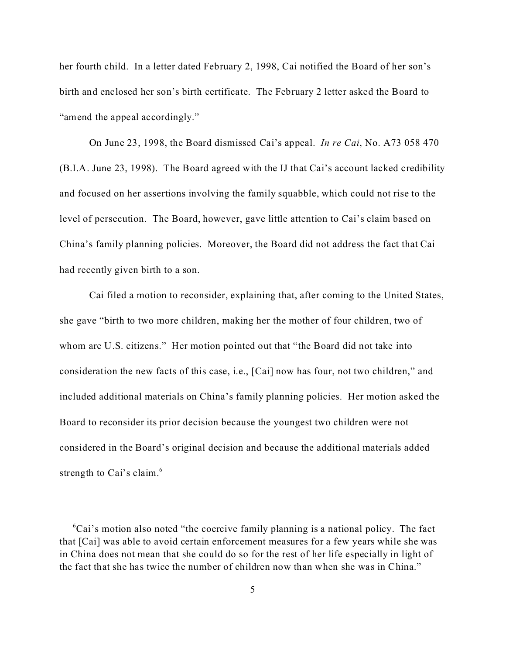her fourth child. In a letter dated February 2, 1998, Cai notified the Board of her son's birth and enclosed her son's birth certificate. The February 2 letter asked the Board to "amend the appeal accordingly."

On June 23, 1998, the Board dismissed Cai's appeal. *In re Cai*, No. A73 058 470 (B.I.A. June 23, 1998). The Board agreed with the IJ that Cai's account lacked credibility and focused on her assertions involving the family squabble, which could not rise to the level of persecution. The Board, however, gave little attention to Cai's claim based on China's family planning policies. Moreover, the Board did not address the fact that Cai had recently given birth to a son.

Cai filed a motion to reconsider, explaining that, after coming to the United States, she gave "birth to two more children, making her the mother of four children, two of whom are U.S. citizens." Her motion pointed out that "the Board did not take into consideration the new facts of this case, i.e., [Cai] now has four, not two children," and included additional materials on China's family planning policies. Her motion asked the Board to reconsider its prior decision because the youngest two children were not considered in the Board's original decision and because the additional materials added strength to Cai's claim.<sup>6</sup>

 ${}^6$ Cai's motion also noted "the coercive family planning is a national policy. The fact that [Cai] was able to avoid certain enforcement measures for a few years while she was in China does not mean that she could do so for the rest of her life especially in light of the fact that she has twice the number of children now than when she was in China."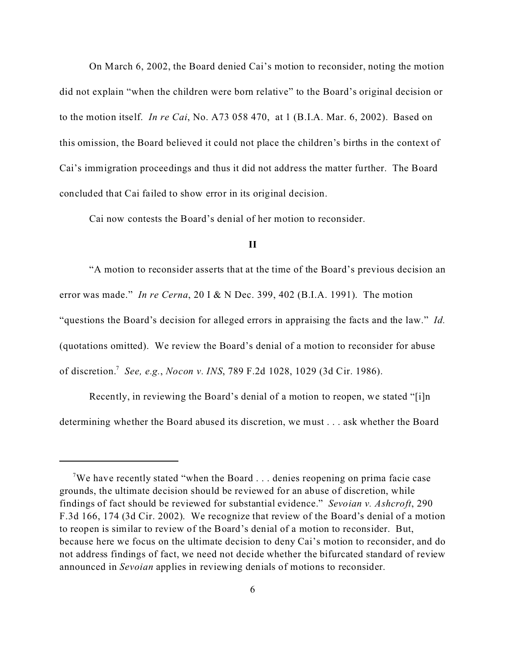On March 6, 2002, the Board denied Cai's motion to reconsider, noting the motion did not explain "when the children were born relative" to the Board's original decision or to the motion itself. *In re Cai*, No. A73 058 470, at 1 (B.I.A. Mar. 6, 2002). Based on this omission, the Board believed it could not place the children's births in the context of Cai's immigration proceedings and thus it did not address the matter further. The Board concluded that Cai failed to show error in its original decision.

Cai now contests the Board's denial of her motion to reconsider.

#### **II**

"A motion to reconsider asserts that at the time of the Board's previous decision an error was made." *In re Cerna*, 20 I & N Dec. 399, 402 (B.I.A. 1991). The motion "questions the Board's decision for alleged errors in appraising the facts and the law." *Id.* (quotations omitted). We review the Board's denial of a motion to reconsider for abuse of discretion.<sup>7</sup> *See, e.g.*, *Nocon v. INS*, 789 F.2d 1028, 1029 (3d Cir. 1986).

Recently, in reviewing the Board's denial of a motion to reopen, we stated "[i]n determining whether the Board abused its discretion, we must . . . ask whether the Board

<sup>&</sup>lt;sup>7</sup>We have recently stated "when the Board  $\dots$  denies reopening on prima facie case grounds, the ultimate decision should be reviewed for an abuse of discretion, while findings of fact should be reviewed for substantial evidence." *Sevoian v. Ashcroft*, 290 F.3d 166, 174 (3d Cir. 2002). We recognize that review of the Board's denial of a motion to reopen is similar to review of the Board's denial of a motion to reconsider. But, because here we focus on the ultimate decision to deny Cai's motion to reconsider, and do not address findings of fact, we need not decide whether the bifurcated standard of review announced in *Sevoian* applies in reviewing denials of motions to reconsider.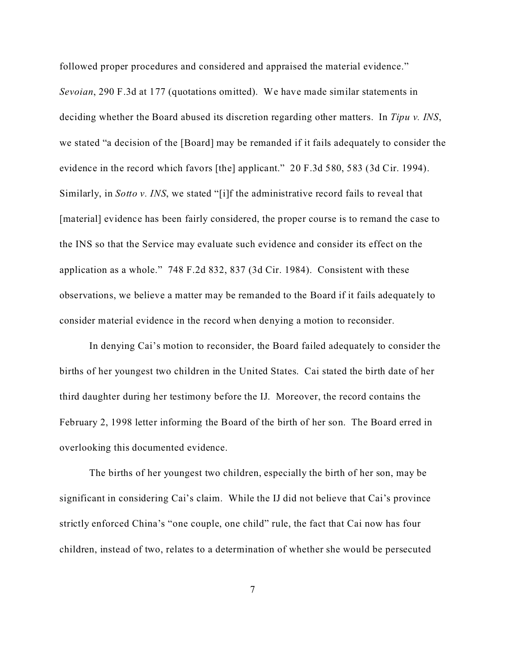followed proper procedures and considered and appraised the material evidence." *Sevoian*, 290 F.3d at 177 (quotations omitted). We have made similar statements in deciding whether the Board abused its discretion regarding other matters. In *Tipu v. INS*, we stated "a decision of the [Board] may be remanded if it fails adequately to consider the evidence in the record which favors [the] applicant." 20 F.3d 580, 583 (3d Cir. 1994). Similarly, in *Sotto v. INS*, we stated "[i]f the administrative record fails to reveal that [material] evidence has been fairly considered, the proper course is to remand the case to the INS so that the Service may evaluate such evidence and consider its effect on the application as a whole." 748 F.2d 832, 837 (3d Cir. 1984). Consistent with these observations, we believe a matter may be remanded to the Board if it fails adequately to consider material evidence in the record when denying a motion to reconsider.

In denying Cai's motion to reconsider, the Board failed adequately to consider the births of her youngest two children in the United States. Cai stated the birth date of her third daughter during her testimony before the IJ. Moreover, the record contains the February 2, 1998 letter informing the Board of the birth of her son. The Board erred in overlooking this documented evidence.

The births of her youngest two children, especially the birth of her son, may be significant in considering Cai's claim. While the IJ did not believe that Cai's province strictly enforced China's "one couple, one child" rule, the fact that Cai now has four children, instead of two, relates to a determination of whether she would be persecuted

7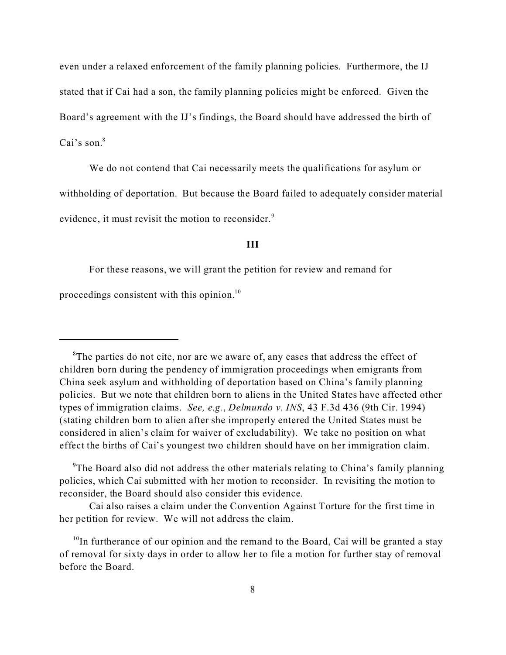even under a relaxed enforcement of the family planning policies. Furthermore, the IJ stated that if Cai had a son, the family planning policies might be enforced. Given the Board's agreement with the IJ's findings, the Board should have addressed the birth of Cai's son. $8$ 

We do not contend that Cai necessarily meets the qualifications for asylum or withholding of deportation. But because the Board failed to adequately consider material

evidence, it must revisit the motion to reconsider.<sup>9</sup>

#### **III**

For these reasons, we will grant the petition for review and remand for

proceedings consistent with this opinion.<sup>10</sup>

 ${}^{8}$ The parties do not cite, nor are we aware of, any cases that address the effect of children born during the pendency of immigration proceedings when emigrants from China seek asylum and withholding of deportation based on China's family planning policies. But we note that children born to aliens in the United States have affected other types of immigration claims. *See, e.g.*, *Delmundo v. INS*, 43 F.3d 436 (9th Cir. 1994) (stating children born to alien after she improperly entered the United States must be considered in alien's claim for waiver of excludability). We take no position on what effect the births of Cai's youngest two children should have on her immigration claim.

<sup>9</sup>The Board also did not address the other materials relating to China's family planning policies, which Cai submitted with her motion to reconsider. In revisiting the motion to reconsider, the Board should also consider this evidence.

Cai also raises a claim under the Convention Against Torture for the first time in her petition for review. We will not address the claim.

 $10$ In furtherance of our opinion and the remand to the Board, Cai will be granted a stay of removal for sixty days in order to allow her to file a motion for further stay of removal before the Board.